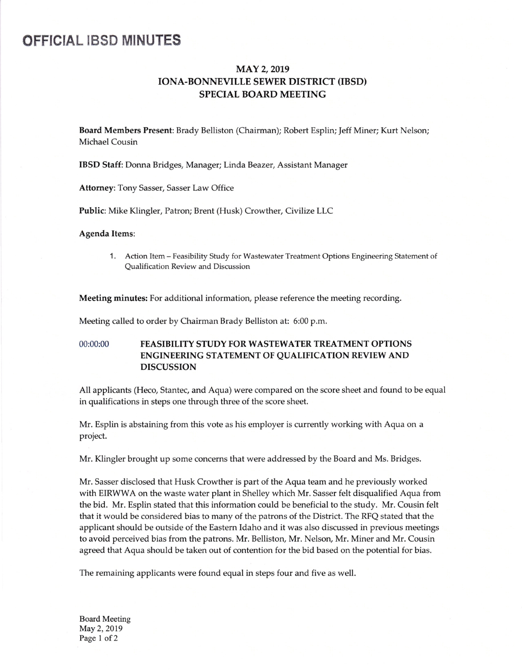# OFFICIAL IBSD MINUTES

# MAY 2, 2019 IONA-BONNEVILLE SEWER DISTRICT (IBSD) SPECIAL BOARD MEETING

Board Members Present: Brady Belliston (Chairman); Robert Esplin; Jeff Miner; Kurt Nelson; Michael Cousin

IBSD Staff: Donna Bridges, Manager; Linda Beazer, Assistant Manager

Attorney: Tony Sasser, Sasser Law Office

Public: Mike Klingler, Patron; Brent (Husk) Crowther, Civilize LLC

#### Agenda Items:

1. Action Item- Feasibility Study for Wastewater Treatment Options Engineering Statement of Qualification Review and Discussion

Meeting minutes: For additional information, please reference the meeting recording.

Meeting called to order by Chairman Brady Belliston at: 6:00 p.m.

## 00:00:00 FEASIBILITY STUDY FOR WASTEWATER TREATMENT OPTIONS ENGINEERING STATEMENT OF QUALIFICATION REVIEW AND DISCUSSION

All applicants (Heco, Stantec, and Aqua) were compared on the score sheet and found to be equal in qualifications in steps one through three of the score sheet.

Mr. Esplin is abstaining from this vote as his employer is currently working with Aqua on a project.

Mr. Klingler brought up some concerns that were addressed by the Board and Ms. Bridges.

Mr. Sasser disclosed that Husk Crowther is part of the Aqua team and he previously worked with EIRWWA on the waste water plant in Shelley which Mr. Sasser felt disqualified Aqua from the bid. Mr. Esplin stated that this information could be beneficial to the study. Mr. Cousin felt that it would be considered bias to many of the patrons of the District. The RFQ stated that the applicant should be outside of the Eastern Idaho and it was also discussed in previous meetings to avoid perceived bias from the patrons. Mr. Belliston, Mr. Nelson, Mr. Miner and Mr. Cousin agreed that Aqua should be taken out of contention for the bid based on the potential for bias.

The remaining applicants were found equal in steps four and five as well.

Board Meeting May 2, 2019 Page <sup>1</sup> of 2